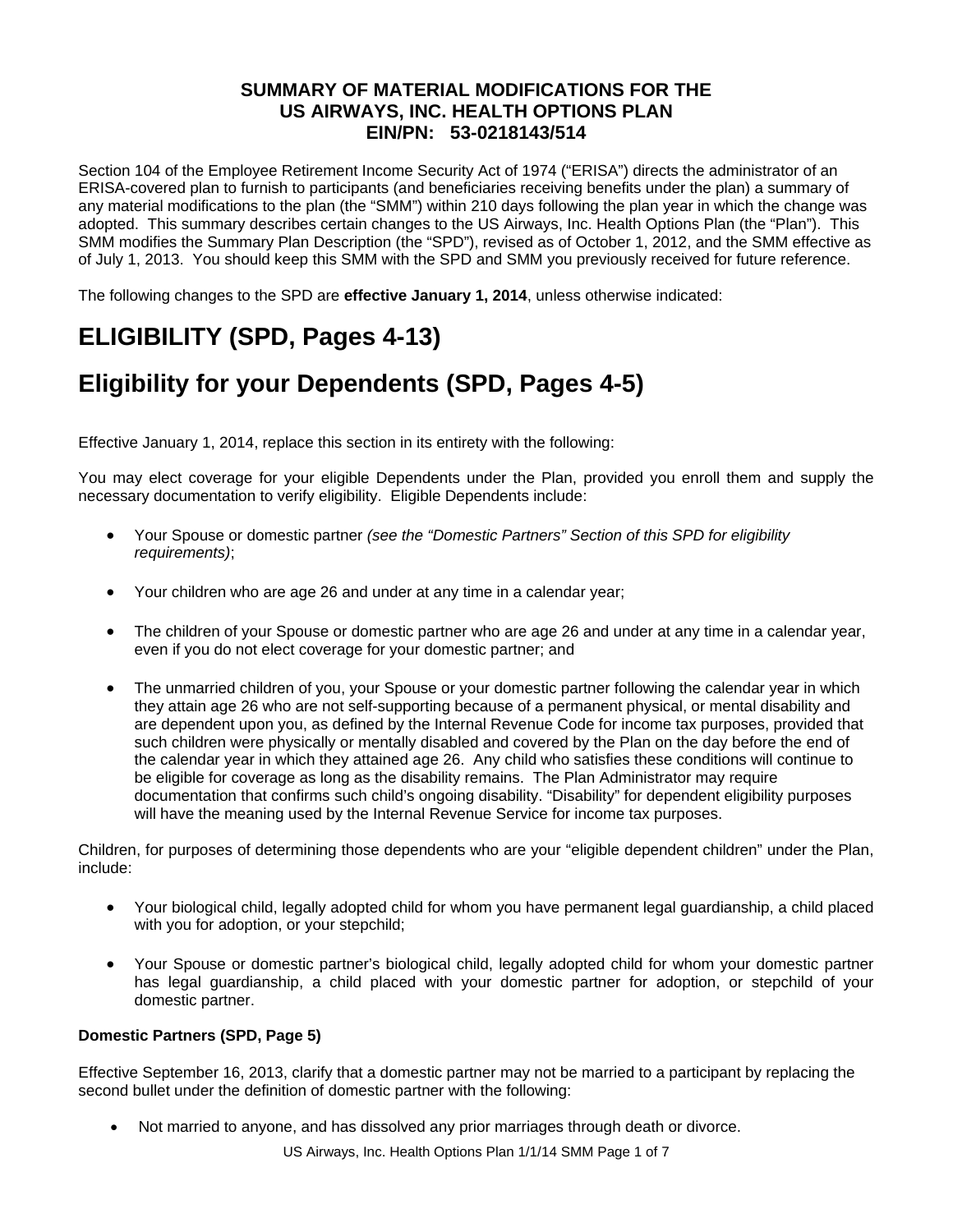### **SUMMARY OF MATERIAL MODIFICATIONS FOR THE US AIRWAYS, INC. HEALTH OPTIONS PLAN EIN/PN: 53-0218143/514**

Section 104 of the Employee Retirement Income Security Act of 1974 ("ERISA") directs the administrator of an ERISA-covered plan to furnish to participants (and beneficiaries receiving benefits under the plan) a summary of any material modifications to the plan (the "SMM") within 210 days following the plan year in which the change was adopted. This summary describes certain changes to the US Airways, Inc. Health Options Plan (the "Plan"). This SMM modifies the Summary Plan Description (the "SPD"), revised as of October 1, 2012, and the SMM effective as of July 1, 2013. You should keep this SMM with the SPD and SMM you previously received for future reference.

The following changes to the SPD are **effective January 1, 2014**, unless otherwise indicated:

# **ELIGIBILITY (SPD, Pages 4-13)**

# **Eligibility for your Dependents (SPD, Pages 4-5)**

Effective January 1, 2014, replace this section in its entirety with the following:

You may elect coverage for your eligible Dependents under the Plan, provided you enroll them and supply the necessary documentation to verify eligibility. Eligible Dependents include:

- Your Spouse or domestic partner *(see the "Domestic Partners" Section of this SPD for eligibility requirements)*;
- Your children who are age 26 and under at any time in a calendar year;
- The children of your Spouse or domestic partner who are age 26 and under at any time in a calendar year, even if you do not elect coverage for your domestic partner; and
- The unmarried children of you, your Spouse or your domestic partner following the calendar year in which they attain age 26 who are not self-supporting because of a permanent physical, or mental disability and are dependent upon you, as defined by the Internal Revenue Code for income tax purposes, provided that such children were physically or mentally disabled and covered by the Plan on the day before the end of the calendar year in which they attained age 26. Any child who satisfies these conditions will continue to be eligible for coverage as long as the disability remains. The Plan Administrator may require documentation that confirms such child's ongoing disability. "Disability" for dependent eligibility purposes will have the meaning used by the Internal Revenue Service for income tax purposes.

Children, for purposes of determining those dependents who are your "eligible dependent children" under the Plan, include:

- Your biological child, legally adopted child for whom you have permanent legal guardianship, a child placed with you for adoption, or your stepchild;
- Your Spouse or domestic partner's biological child, legally adopted child for whom your domestic partner has legal guardianship, a child placed with your domestic partner for adoption, or stepchild of your domestic partner.

#### **Domestic Partners (SPD, Page 5)**

Effective September 16, 2013, clarify that a domestic partner may not be married to a participant by replacing the second bullet under the definition of domestic partner with the following:

Not married to anyone, and has dissolved any prior marriages through death or divorce.

US Airways, Inc. Health Options Plan 1/1/14 SMM Page 1 of 7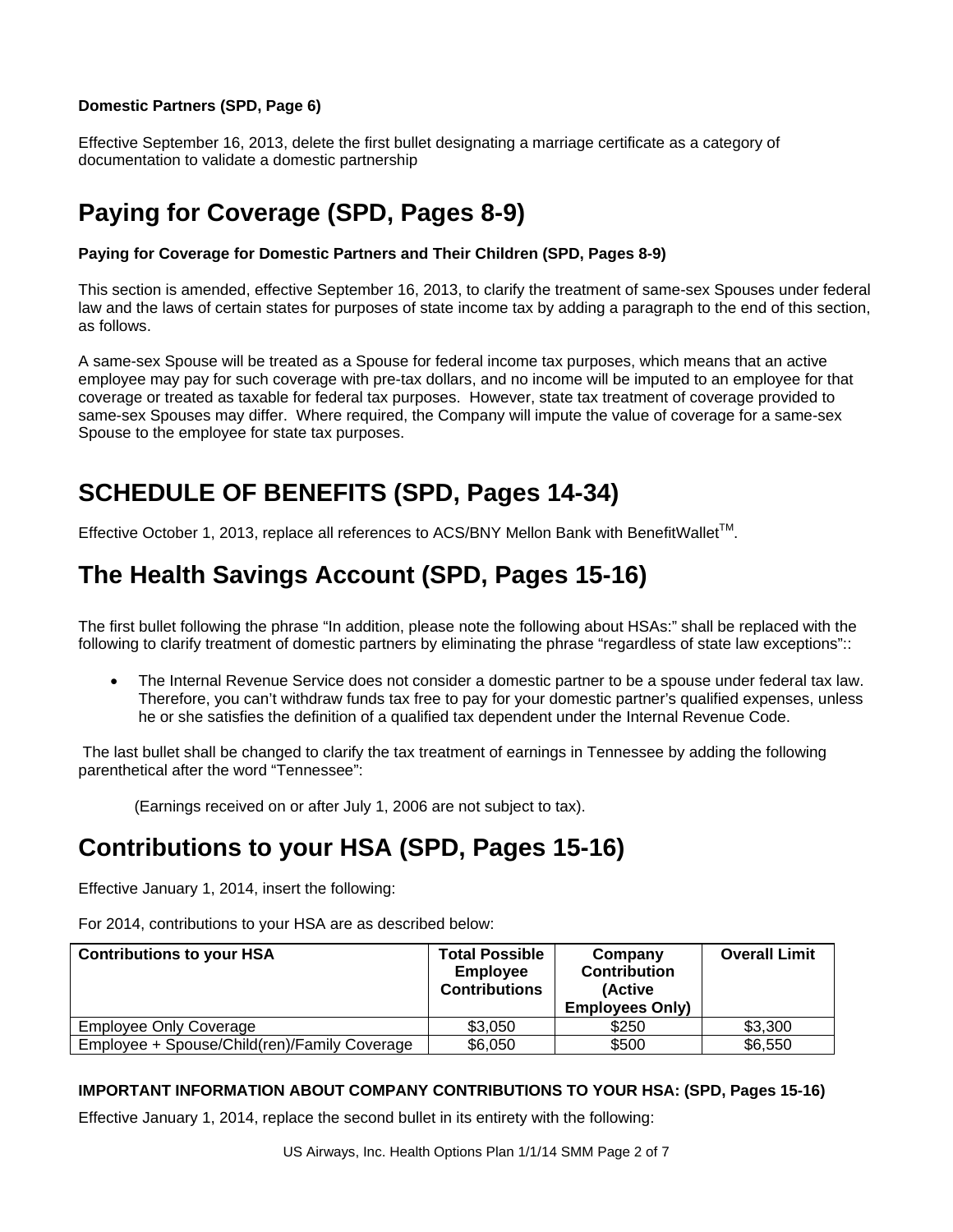#### **Domestic Partners (SPD, Page 6)**

Effective September 16, 2013, delete the first bullet designating a marriage certificate as a category of documentation to validate a domestic partnership

# **Paying for Coverage (SPD, Pages 8-9)**

#### **Paying for Coverage for Domestic Partners and Their Children (SPD, Pages 8-9)**

This section is amended, effective September 16, 2013, to clarify the treatment of same-sex Spouses under federal law and the laws of certain states for purposes of state income tax by adding a paragraph to the end of this section, as follows.

A same-sex Spouse will be treated as a Spouse for federal income tax purposes, which means that an active employee may pay for such coverage with pre-tax dollars, and no income will be imputed to an employee for that coverage or treated as taxable for federal tax purposes. However, state tax treatment of coverage provided to same-sex Spouses may differ. Where required, the Company will impute the value of coverage for a same-sex Spouse to the employee for state tax purposes.

### **SCHEDULE OF BENEFITS (SPD, Pages 14-34)**

Effective October 1, 2013, replace all references to ACS/BNY Mellon Bank with BenefitWallet<sup>TM</sup>.

### **The Health Savings Account (SPD, Pages 15-16)**

The first bullet following the phrase "In addition, please note the following about HSAs:" shall be replaced with the following to clarify treatment of domestic partners by eliminating the phrase "regardless of state law exceptions"::

 The Internal Revenue Service does not consider a domestic partner to be a spouse under federal tax law. Therefore, you can't withdraw funds tax free to pay for your domestic partner's qualified expenses, unless he or she satisfies the definition of a qualified tax dependent under the Internal Revenue Code.

 The last bullet shall be changed to clarify the tax treatment of earnings in Tennessee by adding the following parenthetical after the word "Tennessee":

(Earnings received on or after July 1, 2006 are not subject to tax).

### **Contributions to your HSA (SPD, Pages 15-16)**

Effective January 1, 2014, insert the following:

For 2014, contributions to your HSA are as described below:

| <b>Contributions to your HSA</b>             | <b>Total Possible</b><br><b>Employee</b><br><b>Contributions</b> | Company<br><b>Contribution</b><br>(Active<br><b>Employees Only)</b> | <b>Overall Limit</b> |
|----------------------------------------------|------------------------------------------------------------------|---------------------------------------------------------------------|----------------------|
| <b>Employee Only Coverage</b>                | \$3,050                                                          | \$250                                                               | \$3,300              |
| Employee + Spouse/Child(ren)/Family Coverage | \$6,050                                                          | \$500                                                               | \$6,550              |

#### **IMPORTANT INFORMATION ABOUT COMPANY CONTRIBUTIONS TO YOUR HSA: (SPD, Pages 15-16)**

Effective January 1, 2014, replace the second bullet in its entirety with the following: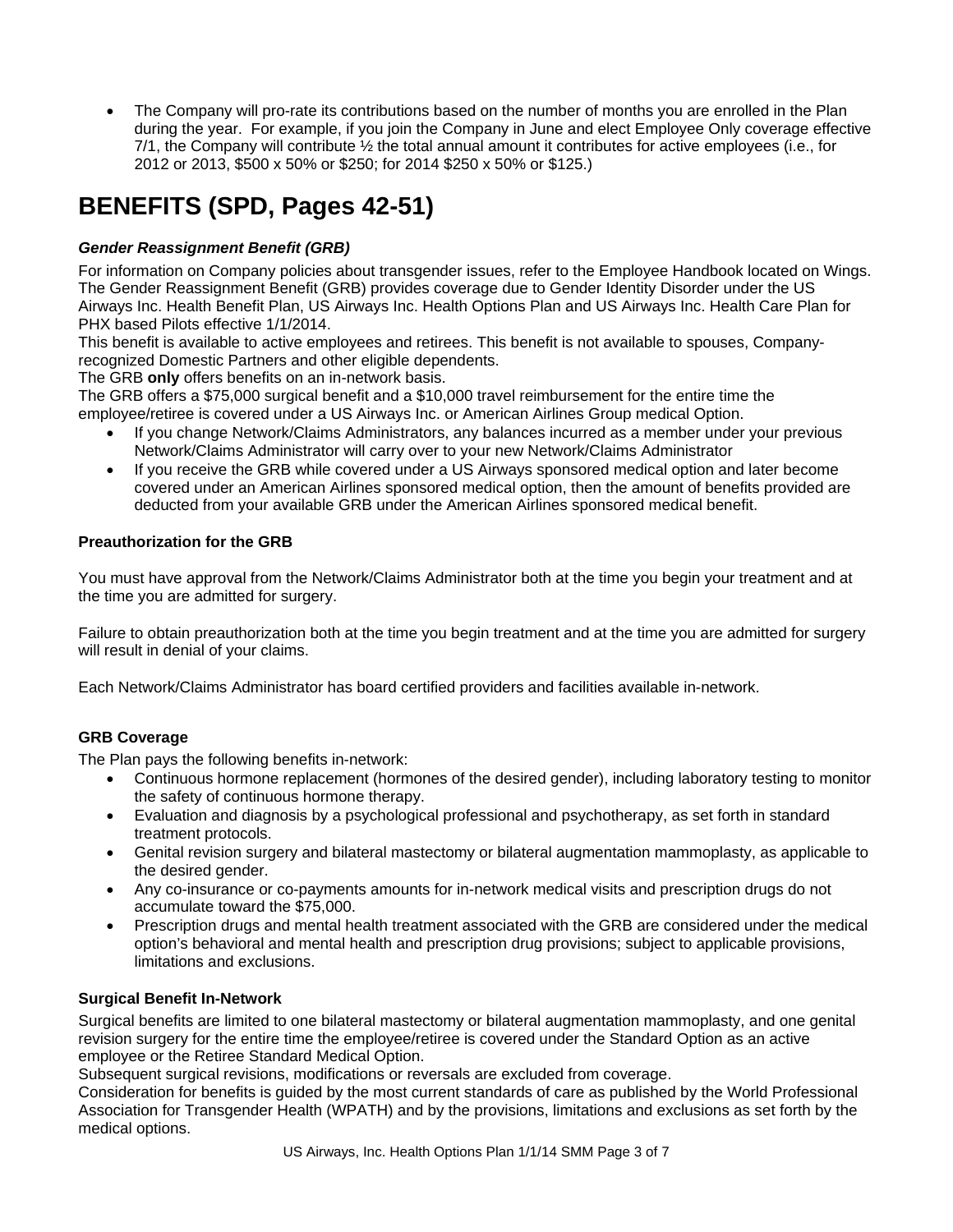The Company will pro-rate its contributions based on the number of months you are enrolled in the Plan during the year. For example, if you join the Company in June and elect Employee Only coverage effective 7/1, the Company will contribute ½ the total annual amount it contributes for active employees (i.e., for 2012 or 2013, \$500 x 50% or \$250; for 2014 \$250 x 50% or \$125.)

# **BENEFITS (SPD, Pages 42-51)**

### *Gender Reassignment Benefit (GRB)*

For information on Company policies about transgender issues, refer to the Employee Handbook located on Wings. The Gender Reassignment Benefit (GRB) provides coverage due to Gender Identity Disorder under the US Airways Inc. Health Benefit Plan, US Airways Inc. Health Options Plan and US Airways Inc. Health Care Plan for PHX based Pilots effective 1/1/2014.

This benefit is available to active employees and retirees. This benefit is not available to spouses, Companyrecognized Domestic Partners and other eligible dependents.

The GRB **only** offers benefits on an in-network basis.

The GRB offers a \$75,000 surgical benefit and a \$10,000 travel reimbursement for the entire time the employee/retiree is covered under a US Airways Inc. or American Airlines Group medical Option.

- If you change Network/Claims Administrators, any balances incurred as a member under your previous Network/Claims Administrator will carry over to your new Network/Claims Administrator
- If you receive the GRB while covered under a US Airways sponsored medical option and later become covered under an American Airlines sponsored medical option, then the amount of benefits provided are deducted from your available GRB under the American Airlines sponsored medical benefit.

#### **Preauthorization for the GRB**

You must have approval from the Network/Claims Administrator both at the time you begin your treatment and at the time you are admitted for surgery.

Failure to obtain preauthorization both at the time you begin treatment and at the time you are admitted for surgery will result in denial of your claims.

Each Network/Claims Administrator has board certified providers and facilities available in-network.

#### **GRB Coverage**

The Plan pays the following benefits in-network:

- Continuous hormone replacement (hormones of the desired gender), including laboratory testing to monitor the safety of continuous hormone therapy.
- Evaluation and diagnosis by a psychological professional and psychotherapy, as set forth in standard treatment protocols.
- Genital revision surgery and bilateral mastectomy or bilateral augmentation mammoplasty, as applicable to the desired gender.
- Any co-insurance or co-payments amounts for in-network medical visits and prescription drugs do not accumulate toward the \$75,000.
- Prescription drugs and mental health treatment associated with the GRB are considered under the medical option's behavioral and mental health and prescription drug provisions; subject to applicable provisions, limitations and exclusions.

#### **Surgical Benefit In-Network**

Surgical benefits are limited to one bilateral mastectomy or bilateral augmentation mammoplasty, and one genital revision surgery for the entire time the employee/retiree is covered under the Standard Option as an active employee or the Retiree Standard Medical Option.

Subsequent surgical revisions, modifications or reversals are excluded from coverage.

Consideration for benefits is guided by the most current standards of care as published by the World Professional Association for Transgender Health (WPATH) and by the provisions, limitations and exclusions as set forth by the medical options.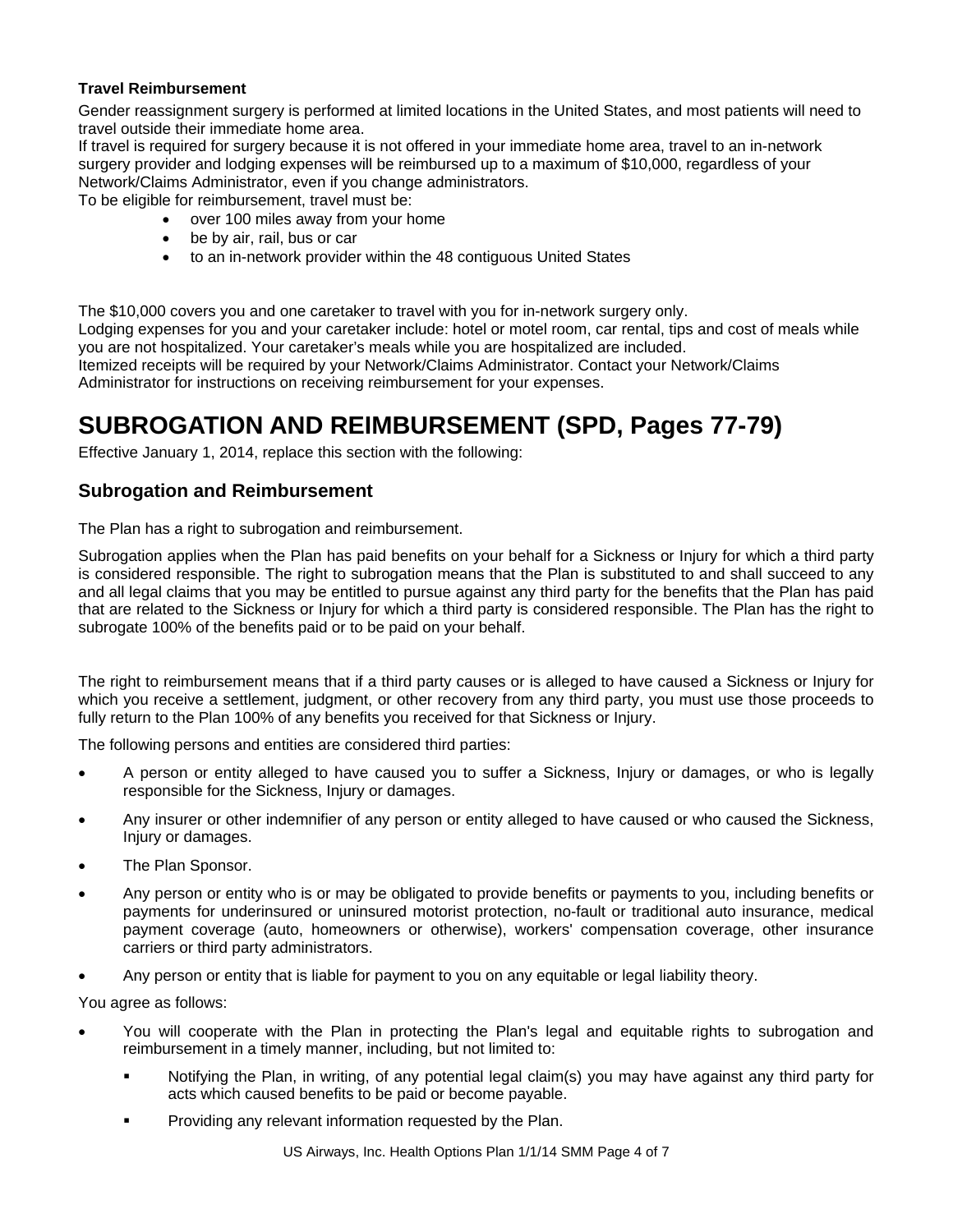#### **Travel Reimbursement**

Gender reassignment surgery is performed at limited locations in the United States, and most patients will need to travel outside their immediate home area.

If travel is required for surgery because it is not offered in your immediate home area, travel to an in-network surgery provider and lodging expenses will be reimbursed up to a maximum of \$10,000, regardless of your Network/Claims Administrator, even if you change administrators.

To be eligible for reimbursement, travel must be:

- over 100 miles away from your home
- be by air, rail, bus or car
- to an in-network provider within the 48 contiguous United States

The \$10,000 covers you and one caretaker to travel with you for in-network surgery only.

Lodging expenses for you and your caretaker include: hotel or motel room, car rental, tips and cost of meals while you are not hospitalized. Your caretaker's meals while you are hospitalized are included.

Itemized receipts will be required by your Network/Claims Administrator. Contact your Network/Claims Administrator for instructions on receiving reimbursement for your expenses.

### **SUBROGATION AND REIMBURSEMENT (SPD, Pages 77-79)**

Effective January 1, 2014, replace this section with the following:

### **Subrogation and Reimbursement**

The Plan has a right to subrogation and reimbursement.

Subrogation applies when the Plan has paid benefits on your behalf for a Sickness or Injury for which a third party is considered responsible. The right to subrogation means that the Plan is substituted to and shall succeed to any and all legal claims that you may be entitled to pursue against any third party for the benefits that the Plan has paid that are related to the Sickness or Injury for which a third party is considered responsible. The Plan has the right to subrogate 100% of the benefits paid or to be paid on your behalf.

The right to reimbursement means that if a third party causes or is alleged to have caused a Sickness or Injury for which you receive a settlement, judgment, or other recovery from any third party, you must use those proceeds to fully return to the Plan 100% of any benefits you received for that Sickness or Injury.

The following persons and entities are considered third parties:

- A person or entity alleged to have caused you to suffer a Sickness, Injury or damages, or who is legally responsible for the Sickness, Injury or damages.
- Any insurer or other indemnifier of any person or entity alleged to have caused or who caused the Sickness, Injury or damages.
- The Plan Sponsor.
- Any person or entity who is or may be obligated to provide benefits or payments to you, including benefits or payments for underinsured or uninsured motorist protection, no-fault or traditional auto insurance, medical payment coverage (auto, homeowners or otherwise), workers' compensation coverage, other insurance carriers or third party administrators.
- Any person or entity that is liable for payment to you on any equitable or legal liability theory.

You agree as follows:

- You will cooperate with the Plan in protecting the Plan's legal and equitable rights to subrogation and reimbursement in a timely manner, including, but not limited to:
	- Notifying the Plan, in writing, of any potential legal claim(s) you may have against any third party for acts which caused benefits to be paid or become payable.
	- Providing any relevant information requested by the Plan.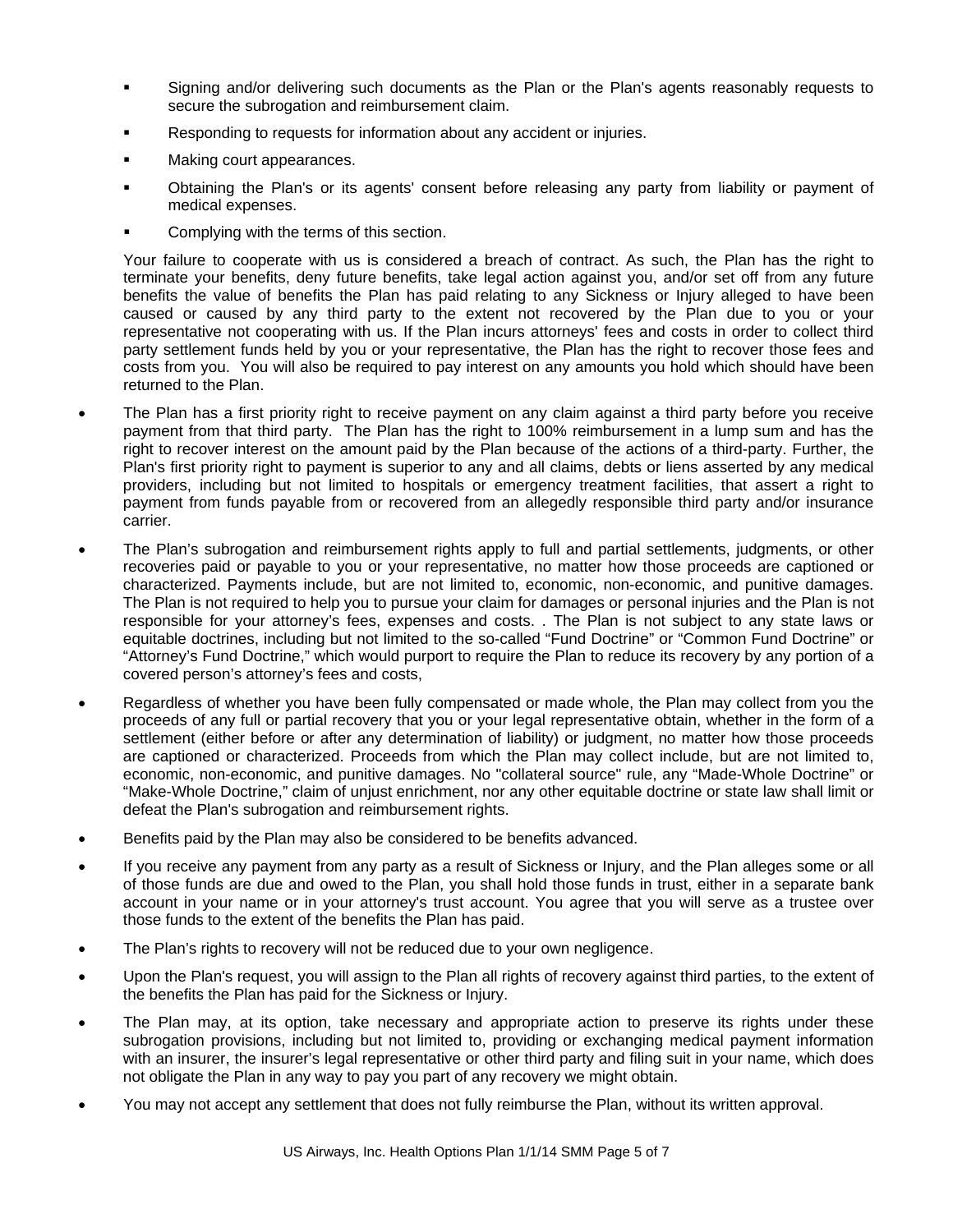- Signing and/or delivering such documents as the Plan or the Plan's agents reasonably requests to secure the subrogation and reimbursement claim.
- Responding to requests for information about any accident or injuries.
- Making court appearances.
- Obtaining the Plan's or its agents' consent before releasing any party from liability or payment of medical expenses.
- Complying with the terms of this section.

Your failure to cooperate with us is considered a breach of contract. As such, the Plan has the right to terminate your benefits, deny future benefits, take legal action against you, and/or set off from any future benefits the value of benefits the Plan has paid relating to any Sickness or Injury alleged to have been caused or caused by any third party to the extent not recovered by the Plan due to you or your representative not cooperating with us. If the Plan incurs attorneys' fees and costs in order to collect third party settlement funds held by you or your representative, the Plan has the right to recover those fees and costs from you. You will also be required to pay interest on any amounts you hold which should have been returned to the Plan.

- The Plan has a first priority right to receive payment on any claim against a third party before you receive payment from that third party. The Plan has the right to 100% reimbursement in a lump sum and has the right to recover interest on the amount paid by the Plan because of the actions of a third-party. Further, the Plan's first priority right to payment is superior to any and all claims, debts or liens asserted by any medical providers, including but not limited to hospitals or emergency treatment facilities, that assert a right to payment from funds payable from or recovered from an allegedly responsible third party and/or insurance carrier.
- The Plan's subrogation and reimbursement rights apply to full and partial settlements, judgments, or other recoveries paid or payable to you or your representative, no matter how those proceeds are captioned or characterized. Payments include, but are not limited to, economic, non-economic, and punitive damages. The Plan is not required to help you to pursue your claim for damages or personal injuries and the Plan is not responsible for your attorney's fees, expenses and costs. . The Plan is not subject to any state laws or equitable doctrines, including but not limited to the so-called "Fund Doctrine" or "Common Fund Doctrine" or "Attorney's Fund Doctrine," which would purport to require the Plan to reduce its recovery by any portion of a covered person's attorney's fees and costs,
- Regardless of whether you have been fully compensated or made whole, the Plan may collect from you the proceeds of any full or partial recovery that you or your legal representative obtain, whether in the form of a settlement (either before or after any determination of liability) or judgment, no matter how those proceeds are captioned or characterized. Proceeds from which the Plan may collect include, but are not limited to, economic, non-economic, and punitive damages. No "collateral source" rule, any "Made-Whole Doctrine" or "Make-Whole Doctrine," claim of unjust enrichment, nor any other equitable doctrine or state law shall limit or defeat the Plan's subrogation and reimbursement rights.
- Benefits paid by the Plan may also be considered to be benefits advanced.
- If you receive any payment from any party as a result of Sickness or Injury, and the Plan alleges some or all of those funds are due and owed to the Plan, you shall hold those funds in trust, either in a separate bank account in your name or in your attorney's trust account. You agree that you will serve as a trustee over those funds to the extent of the benefits the Plan has paid.
- The Plan's rights to recovery will not be reduced due to your own negligence.
- Upon the Plan's request, you will assign to the Plan all rights of recovery against third parties, to the extent of the benefits the Plan has paid for the Sickness or Injury.
- The Plan may, at its option, take necessary and appropriate action to preserve its rights under these subrogation provisions, including but not limited to, providing or exchanging medical payment information with an insurer, the insurer's legal representative or other third party and filing suit in your name, which does not obligate the Plan in any way to pay you part of any recovery we might obtain.
- You may not accept any settlement that does not fully reimburse the Plan, without its written approval.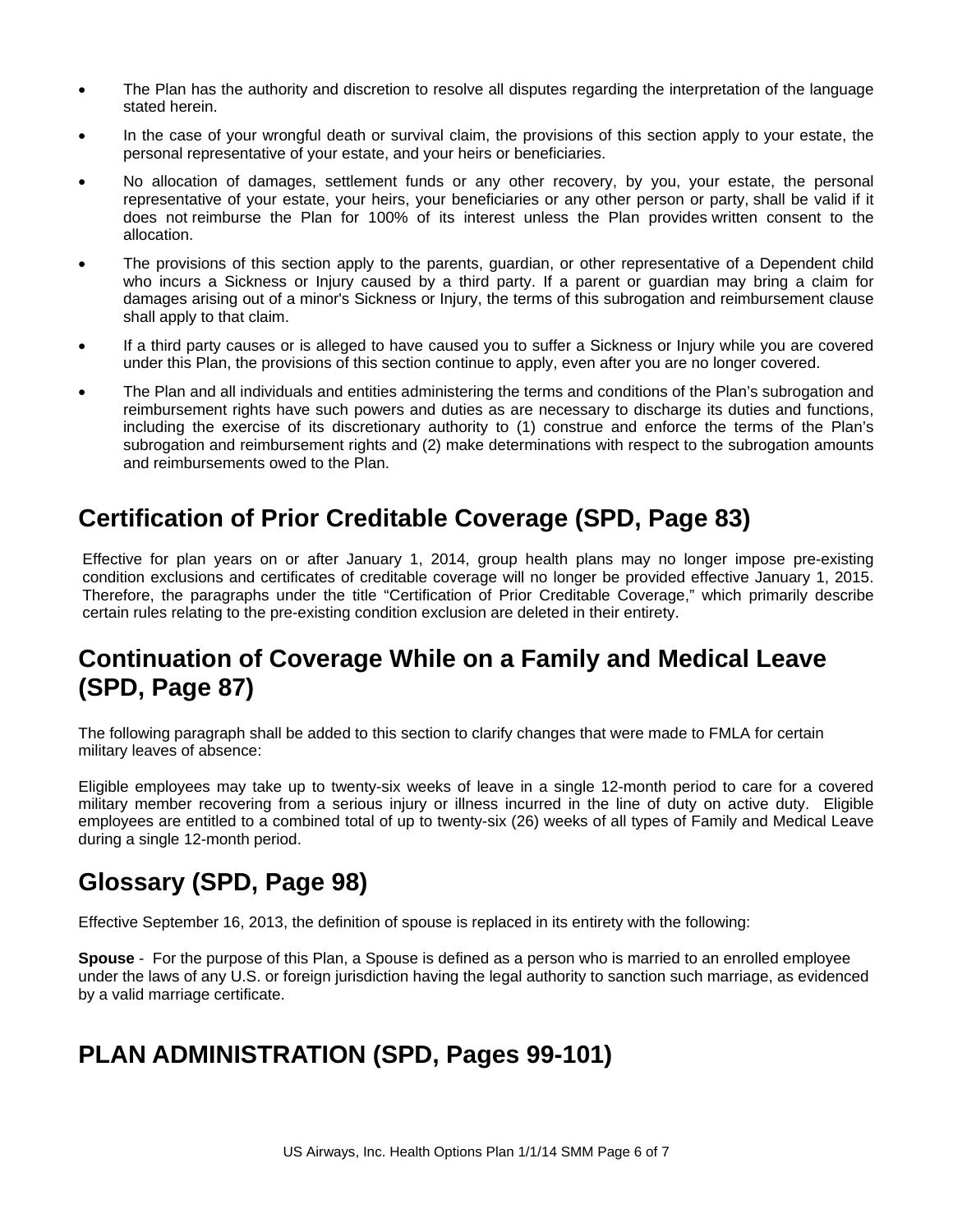- The Plan has the authority and discretion to resolve all disputes regarding the interpretation of the language stated herein.
- In the case of your wrongful death or survival claim, the provisions of this section apply to your estate, the personal representative of your estate, and your heirs or beneficiaries.
- No allocation of damages, settlement funds or any other recovery, by you, your estate, the personal representative of your estate, your heirs, your beneficiaries or any other person or party, shall be valid if it does not reimburse the Plan for 100% of its interest unless the Plan provides written consent to the allocation.
- The provisions of this section apply to the parents, guardian, or other representative of a Dependent child who incurs a Sickness or Injury caused by a third party. If a parent or guardian may bring a claim for damages arising out of a minor's Sickness or Injury, the terms of this subrogation and reimbursement clause shall apply to that claim.
- If a third party causes or is alleged to have caused you to suffer a Sickness or Injury while you are covered under this Plan, the provisions of this section continue to apply, even after you are no longer covered.
- The Plan and all individuals and entities administering the terms and conditions of the Plan's subrogation and reimbursement rights have such powers and duties as are necessary to discharge its duties and functions, including the exercise of its discretionary authority to (1) construe and enforce the terms of the Plan's subrogation and reimbursement rights and (2) make determinations with respect to the subrogation amounts and reimbursements owed to the Plan.

### **Certification of Prior Creditable Coverage (SPD, Page 83)**

Effective for plan years on or after January 1, 2014, group health plans may no longer impose pre-existing condition exclusions and certificates of creditable coverage will no longer be provided effective January 1, 2015. Therefore, the paragraphs under the title "Certification of Prior Creditable Coverage," which primarily describe certain rules relating to the pre-existing condition exclusion are deleted in their entirety.

### **Continuation of Coverage While on a Family and Medical Leave (SPD, Page 87)**

The following paragraph shall be added to this section to clarify changes that were made to FMLA for certain military leaves of absence:

Eligible employees may take up to twenty-six weeks of leave in a single 12-month period to care for a covered military member recovering from a serious injury or illness incurred in the line of duty on active duty. Eligible employees are entitled to a combined total of up to twenty-six (26) weeks of all types of Family and Medical Leave during a single 12-month period.

### **Glossary (SPD, Page 98)**

Effective September 16, 2013, the definition of spouse is replaced in its entirety with the following:

**Spouse** - For the purpose of this Plan, a Spouse is defined as a person who is married to an enrolled employee under the laws of any U.S. or foreign jurisdiction having the legal authority to sanction such marriage, as evidenced by a valid marriage certificate.

### **PLAN ADMINISTRATION (SPD, Pages 99-101)**